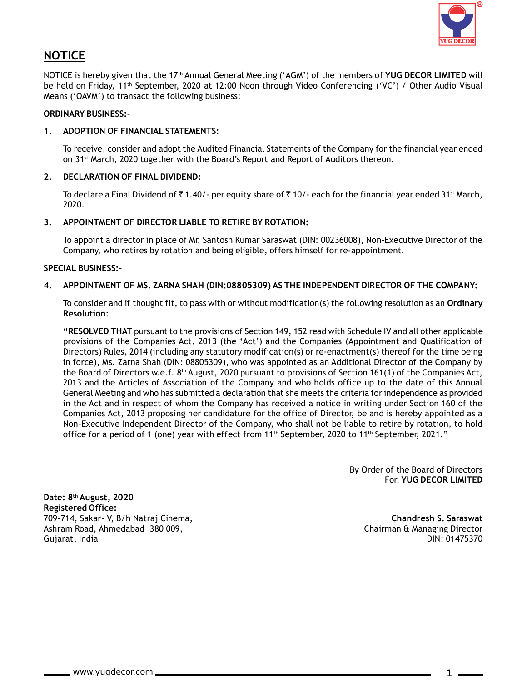

# **NOTICE**

NOTICE is hereby given that the 17th Annual General Meeting ('AGM') of the members of **YUG DECOR LIMITED** will be held on Friday, 11th September, 2020 at 12:00 Noon through Video Conferencing ('VC') / Other Audio Visual Means ('OAVM') to transact the following business:

### **ORDINARY BUSINESS:-**

### **1. ADOPTION OF FINANCIAL STATEMENTS:**

To receive, consider and adopt the Audited Financial Statements of the Company for the financial year ended on 31<sup>st</sup> March, 2020 together with the Board's Report and Report of Auditors thereon.

## **2. DECLARATION OF FINAL DIVIDEND:**

To declare a Final Dividend of  $\bar{\tau}$  1.40/- per equity share of  $\bar{\tau}$  10/- each for the financial year ended 31<sup>st</sup> March, 2020.

#### **3. APPOINTMENT OF DIRECTOR LIABLE TO RETIRE BY ROTATION:**

To appoint a director in place of Mr. Santosh Kumar Saraswat (DIN: 00236008), Non-Executive Director of the Company, who retires by rotation and being eligible, offers himself for re-appointment.

#### **SPECIAL BUSINESS:-**

#### **4. APPOINTMENT OF MS. ZARNA SHAH (DIN:08805309) AS THE INDEPENDENT DIRECTOR OF THE COMPANY:**

To consider and if thought fit, to pass with or without modification(s) the following resolution as an **Ordinary Resolution**:

**"RESOLVED THAT** pursuant to the provisions of Section 149, 152 read with Schedule IV and all other applicable provisions of the Companies Act, 2013 (the 'Act') and the Companies (Appointment and Qualification of Directors) Rules, 2014 (including any statutory modification(s) or re-enactment(s) thereof for the time being in force), Ms. Zarna Shah (DIN: 08805309), who was appointed as an Additional Director of the Company by the Board of Directors w.e.f. 8<sup>th</sup> August, 2020 pursuant to provisions of Section 161(1) of the Companies Act, 2013 and the Articles of Association of the Company and who holds office up to the date of this Annual General Meeting and who has submitted a declaration that she meets the criteria for independence as provided in the Act and in respect of whom the Company has received a notice in writing under Section 160 of the Companies Act, 2013 proposing her candidature for the office of Director, be and is hereby appointed as a Non-Executive Independent Director of the Company, who shall not be liable to retire by rotation, to hold office for a period of 1 (one) year with effect from 11<sup>th</sup> September, 2020 to 11<sup>th</sup> September, 2021."

> By Order of the Board of Directors For, **YUG DECOR LIMITED**

**Date: 8th August, 2020 Registered Office:** 709-714, Sakar- V, B/h Natraj Cinema, **Chandresh S. Saraswat** Ashram Road, Ahmedabad– 380 009, Chairman & Managing Director Gujarat, India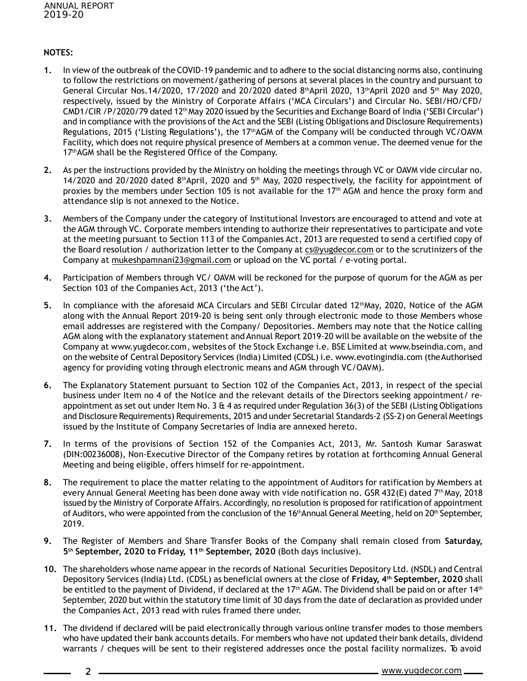$\overline{2}$ 

## **NOTES:**

- **1.** In view of the outbreak of the COVID-19 pandemic and to adhere to the social distancing norms also, continuing to follow the restrictions on movement/gathering of persons at several places in the country and pursuant to General Circular Nos.14/2020, 17/2020 and 20/2020 dated 8<sup>th</sup>April 2020, 13<sup>th</sup>April 2020 and 5<sup>th</sup> May 2020, respectively, issued by the Ministry of Corporate Affairs ('MCA Circulars') and Circular No. SEBI/HO/CFD/ CMD1/CIR /P/2020/79 dated 12<sup>th</sup> May 2020 issued by the Securities and Exchange Board of India ('SEBI Circular') and in compliance with the provisions of the Act and the SEBI (Listing Obligations and Disclosure Requirements) Regulations, 2015 ('Listing Regulations'), the 17thAGM of the Company will be conducted through VC/OAVM Facility, which does not require physical presence of Members at a common venue. The deemed venue for the 17<sup>th</sup>AGM shall be the Registered Office of the Company.
- **2.** As per the instructions provided by the Ministry on holding the meetings through VC or OAVM vide circular no. 14/2020 and 20/2020 dated  $8<sup>th</sup>$ April, 2020 and  $5<sup>th</sup>$  May, 2020 respectively, the facility for appointment of proxies by the members under Section 105 is not available for the  $17<sup>th</sup>$  AGM and hence the proxy form and attendance slip is not annexed to the Notice.
- **3.** Members of the Company under the category of Institutional Investors are encouraged to attend and vote at the AGM through VC. Corporate members intending to authorize their representatives to participate and vote at the meeting pursuant to Section 113 of the Companies Act, 2013 are requested to send a certified copy of the Board resolution / authorization letter to the Company at cs@yugdecor.com or to the scrutinizers of the Company at mukeshpamnani23@gmail.com or upload on the VC portal / e-voting portal.
- **4.** Participation of Members through VC/ OAVM will be reckoned for the purpose of quorum for the AGM as per Section 103 of the Companies Act, 2013 ('the Act').
- **5.** In compliance with the aforesaid MCA Circulars and SEBI Circular dated 12thMay, 2020, Notice of the AGM along with the Annual Report 2019-20 is being sent only through electronic mode to those Members whose email addresses are registered with the Company/ Depositories. Members may note that the Notice calling AGM along with the explanatory statement and Annual Report 2019-20 will be available on the website of the Company at www.yugdecor.com, websites of the Stock Exchange i.e. BSE Limited at www.bseindia.com, and on the website of Central Depository Services (India) Limited (CDSL) i.e. www.evotingindia.com (theAuthorised agency for providing voting through electronic means and AGM through VC/OAVM).
- **6.** The Explanatory Statement pursuant to Section 102 of the Companies Act, 2013, in respect of the special business under Item no 4 of the Notice and the relevant details of the Directors seeking appointment/ reappointment as set out under Item No. 3  $\&$  4 as required under Regulation 36(3) of the SEBI (Listing Obligations and Disclosure Requirements) Requirements, 2015 and under Secretarial Standards-2 (SS-2) on General Meetings issued by the Institute of Company Secretaries of India are annexed hereto.
- **7.** In terms of the provisions of Section 152 of the Companies Act, 2013, Mr. Santosh Kumar Saraswat (DIN:00236008), Non-Executive Director of the Company retires by rotation at forthcoming Annual General Meeting and being eligible, offers himself for re-appointment.
- **8.** The requirement to place the matter relating to the appointment of Auditors for ratification by Members at every Annual General Meeting has been done away with vide notification no. GSR 432(E) dated 7th May, 2018 issued by the Ministry of Corporate Affairs. Accordingly, no resolution is proposed for ratificationof appointment of Auditors, who were appointed from the conclusion of the 16<sup>th</sup>Annual General Meeting, held on 20<sup>th</sup> September, 2019.
- **9.** The Register of Members and Share Transfer Books of the Company shall remain closed from **Saturday, 5th September, 2020 to Friday, 11th September, 2020** (Both days inclusive).
- **10.** The shareholders whose name appear in the records of National Securities Depository Ltd. (NSDL) and Central Depository Services (India) Ltd. (CDSL) as beneficial owners at the close of **Friday, 4th September, 2020** shall be entitled to the payment of Dividend, if declared at the 17<sup>th</sup> AGM. The Dividend shall be paid on or after 14<sup>th</sup> September, 2020 but within the statutory time limit of 30 days from the date of declaration as provided under the Companies Act, 2013 read with rules framed there under.
- **11.** The dividend if declared will be paid electronically through various online transfer modes to those members who have updated their bank accounts details. For members who have not updated their bank details, dividend warrants / cheques will be sent to their registered addresses once the postal facility normalizes. To avoid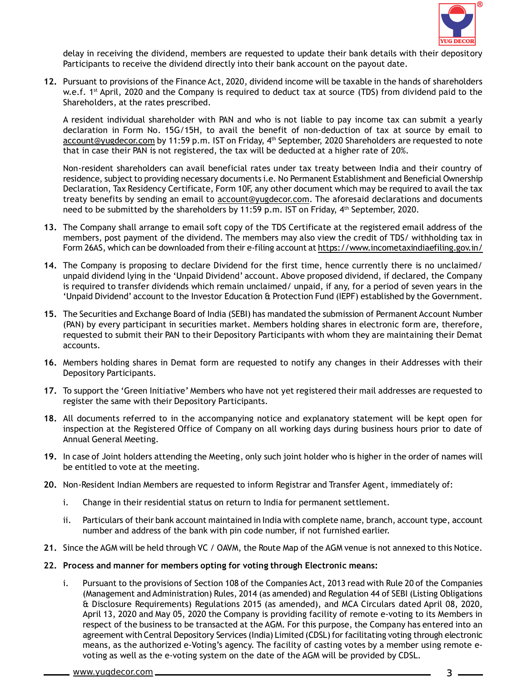

delay in receiving the dividend, members are requested to update their bank details with their depository Participants to receive the dividend directly into their bank account on the payout date.

**12.** Pursuant to provisions of the Finance Act, 2020, dividend income will be taxable in the hands of shareholders w.e.f. 1<sup>st</sup> April, 2020 and the Company is required to deduct tax at source (TDS) from dividend paid to the Shareholders, at the rates prescribed.

A resident individual shareholder with PAN and who is not liable to pay income tax can submit a yearly declaration in Form No. 15G/15H, to avail the benefit of non-deduction of tax at source by email to account@yugdecor.com by 11:59 p.m. IST on Friday, 4<sup>th</sup> September, 2020 Shareholders are requested to note that in case their PAN is not registered, the tax will be deducted at a higher rate of 20%.

Non-resident shareholders can avail beneficial rates under tax treaty between India and their country of residence, subject to providing necessary documents i.e. No Permanent Establishment and Beneficial Ownership Declaration, Tax Residency Certificate, Form 10F, any other document which may be required to avail the tax treaty benefits by sending an email to account@yugdecor.com. The aforesaid declarations and documents need to be submitted by the shareholders by 11:59 p.m. IST on Friday, 4th September, 2020.

- **13.** The Company shall arrange to email soft copy of the TDS Certificate at the registered email address of the members, post payment of the dividend. The members may also view the credit of TDS/ withholding tax in Form 26AS, which can be downloaded from their e-filing account at https://www.incometaxindiaefiling.gov.in/
- **14.** The Company is proposing to declare Dividend for the first time, hence currently there is no unclaimed/ unpaid dividend lying in the 'Unpaid Dividend' account. Above proposed dividend, if declared, the Company is required to transfer dividends which remain unclaimed/ unpaid, if any, for a period of seven years in the 'Unpaid Dividend' account to the Investor Education & Protection Fund (IEPF) established by the Government.
- **15.** The Securities and Exchange Board of India (SEBI) has mandated the submission of Permanent Account Number (PAN) by every participant in securities market. Members holding shares in electronic form are, therefore, requested to submit their PAN to their Depository Participants with whom they are maintaining their Demat accounts.
- **16.** Members holding shares in Demat form are requested to notify any changes in their Addresses with their Depository Participants.
- **17.** To support the 'Green Initiative' Members who have not yet registered their mail addresses are requested to register the same with their Depository Participants.
- **18.** All documents referred to in the accompanying notice and explanatory statement will be kept open for inspection at the Registered Office of Company on all working days during business hours prior to date of Annual General Meeting.
- **19.** In case of Joint holders attending the Meeting, only such joint holder who is higher in the order of names will be entitled to vote at the meeting.
- **20.** Non-Resident Indian Members are requested to inform Registrar and Transfer Agent, immediately of:
	- i. Change in their residential status on return to India for permanent settlement.
	- ii. Particulars of their bank account maintained in India with complete name, branch, account type, account number and address of the bank with pin code number, if not furnished earlier.
- **21.** Since the AGM will be held through VC / OAVM, the Route Map of the AGM venue is not annexed to this Notice.
- **22. Process and manner for members opting for voting through Electronic means:**
	- i. Pursuant to the provisions of Section 108 of the Companies Act, 2013 read with Rule 20 of the Companies (Management and Administration) Rules, 2014 (as amended) and Regulation 44 of SEBI (Listing Obligations & Disclosure Requirements) Regulations 2015 (as amended), and MCA Circulars dated April 08, 2020, April 13, 2020 and May 05, 2020 the Company is providing facility of remote e-voting to its Members in respect of the business to be transacted at the AGM. For this purpose, the Company has entered into an agreement with Central Depository Services (India) Limited (CDSL) for facilitating voting through electronic means, as the authorized e-Voting's agency. The facility of casting votes by a member using remote evoting as well as the e-voting system on the date of the AGM will be provided by CDSL.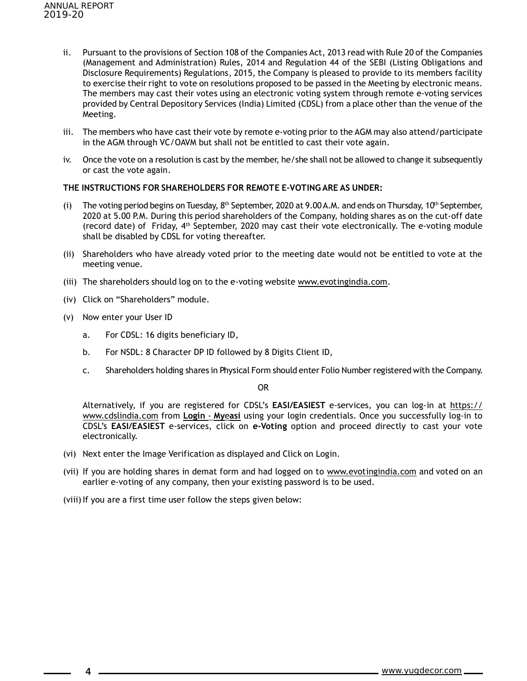- ii. Pursuant to the provisions of Section 108 of the Companies Act, 2013 read with Rule 20 of the Companies (Management and Administration) Rules, 2014 and Regulation 44 of the SEBI (Listing Obligations and Disclosure Requirements) Regulations, 2015, the Company is pleased to provide to its members facility to exercise their right to vote on resolutions proposed to be passed in the Meeting by electronic means. The members may cast their votes using an electronic voting system through remote e-voting services provided by Central Depository Services (India) Limited (CDSL) from a place other than the venue of the Meeting.
- iii. The members who have cast their vote by remote e-voting prior to the AGM may also attend/participate in the AGM through VC/OAVM but shall not be entitled to cast their vote again.
- iv. Once the vote on a resolution is cast by the member, he/she shall not be allowed to change it subsequently or cast the vote again.

#### **THE INSTRUCTIONS FOR SHAREHOLDERS FOR REMOTE E-VOTING ARE AS UNDER:**

- (i) The voting period begins on Tuesday,  $8<sup>th</sup>$  September, 2020 at 9.00 A.M. and ends on Thursday, 10<sup>th</sup> September, 2020 at 5.00 P.M. During this period shareholders of the Company, holding shares as on the cut-off date (record date) of Friday, 4th September, 2020 may cast their vote electronically. The e-voting module shall be disabled by CDSL for voting thereafter.
- (ii) Shareholders who have already voted prior to the meeting date would not be entitled to vote at the meeting venue.
- (iii) The shareholders should log on to the e-voting website www.evotingindia.com.
- (iv) Click on "Shareholders" module.
- (v) Now enter your User ID

4

- a. For CDSL: 16 digits beneficiary ID,
- b. For NSDL: 8 Character DP ID followed by 8 Digits Client ID,
- c. Shareholders holding shares in Physical Form should enter Folio Number registered with the Company.

OR

Alternatively, if you are registered for CDSL's **EASI/EASIEST** e-services, you can log-in at https:// www.cdslindia.com from **Login** - **My**e**asi** using your login credentials. Once you successfully log-in to CDSL's **EASI/EASIEST** e-services, click on **e-Voting** option and proceed directly to cast your vote electronically.

- (vi) Next enter the Image Verification as displayed and Click on Login.
- (vii) If you are holding shares in demat form and had logged on to www.evotingindia.com and voted on an earlier e-voting of any company, then your existing password is to be used.

(viii) If you are a first time user follow the steps given below: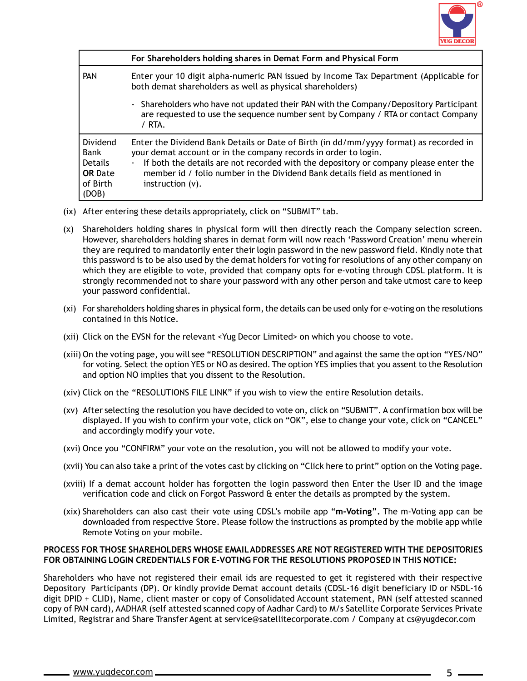

|                                                                                  | For Shareholders holding shares in Demat Form and Physical Form                                                                                                                                                                                                                                                                                                      |  |
|----------------------------------------------------------------------------------|----------------------------------------------------------------------------------------------------------------------------------------------------------------------------------------------------------------------------------------------------------------------------------------------------------------------------------------------------------------------|--|
| <b>PAN</b>                                                                       | Enter your 10 digit alpha-numeric PAN issued by Income Tax Department (Applicable for<br>both demat shareholders as well as physical shareholders)                                                                                                                                                                                                                   |  |
|                                                                                  | Shareholders who have not updated their PAN with the Company/Depository Participant<br>are requested to use the sequence number sent by Company / RTA or contact Company<br>/ RTA.                                                                                                                                                                                   |  |
| Dividend<br><b>Bank</b><br><b>Details</b><br><b>OR</b> Date<br>of Birth<br>(DOB) | Enter the Dividend Bank Details or Date of Birth (in dd/mm/yyyy format) as recorded in<br>your demat account or in the company records in order to login.<br>If both the details are not recorded with the depository or company please enter the<br>$\bullet$<br>member id / folio number in the Dividend Bank details field as mentioned in<br>instruction $(v)$ . |  |

- (ix) After entering these details appropriately, click on "SUBMIT" tab.
- (x) Shareholders holding shares in physical form will then directly reach the Company selection screen. However, shareholders holding shares in demat form will now reach 'Password Creation' menu wherein they are required to mandatorily enter their login password in the new password field. Kindly note that this password is to be also used by the demat holders for voting for resolutions of any other company on which they are eligible to vote, provided that company opts for e-voting through CDSL platform. It is strongly recommended not to share your password with any other person and take utmost care to keep your password confidential.
- (xi) For shareholders holding shares in physical form, the details can be used only for e-voting on the resolutions contained in this Notice.
- (xii) Click on the EVSN for the relevant <Yug Decor Limited> on which you choose to vote.
- (xiii) On the voting page, you will see "RESOLUTION DESCRIPTION" and against the same the option "YES/NO" for voting. Select the option YES or NO as desired. The option YES implies that you assent to the Resolution and option NO implies that you dissent to the Resolution.
- (xiv) Click on the "RESOLUTIONS FILE LINK" if you wish to view the entire Resolution details.
- (xv) After selecting the resolution you have decided to vote on, click on "SUBMIT". A confirmation box will be displayed. If you wish to confirm your vote, click on "OK", else to change your vote, click on "CANCEL" and accordingly modify your vote.
- (xvi) Once you "CONFIRM" your vote on the resolution, you will not be allowed to modify your vote.
- (xvii) You can also take a print of the votes cast by clicking on "Click here to print" option on the Voting page.
- (xviii) If a demat account holder has forgotten the login password then Enter the User ID and the image verification code and click on Forgot Password & enter the details as prompted by the system.
- (xix) Shareholders can also cast their vote using CDSL's mobile app "**m-Voting".** The m-Voting app can be downloaded from respective Store. Please follow the instructions as prompted by the mobile app while Remote Voting on your mobile.

## **PROCESS FOR THOSE SHAREHOLDERS WHOSE EMAILADDRESSES ARE NOT REGISTERED WITH THE DEPOSITORIES FOR OBTAINING LOGIN CREDENTIALS FOR E-VOTING FOR THE RESOLUTIONS PROPOSED IN THIS NOTICE:**

Shareholders who have not registered their email ids are requested to get it registered with their respective Depository Participants (DP). Or kindly provide Demat account details (CDSL-16 digit beneficiary ID or NSDL-16 digit DPID + CLID), Name, client master or copy of Consolidated Account statement, PAN (self attested scanned copy of PAN card), AADHAR (self attested scanned copy of Aadhar Card) to M/s Satellite Corporate Services Private Limited, Registrar and Share Transfer Agent at service@satellitecorporate.com / Company at cs@yugdecor.com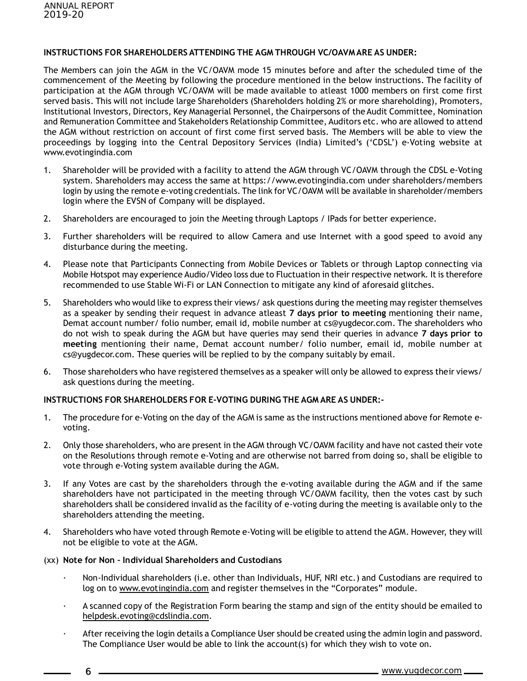## **INSTRUCTIONS FOR SHAREHOLDERS ATTENDING THE AGM THROUGH VC/OAVMARE AS UNDER:**

The Members can join the AGM in the VC/OAVM mode 15 minutes before and after the scheduled time of the commencement of the Meeting by following the procedure mentioned in the below instructions. The facility of participation at the AGM through VC/OAVM will be made available to atleast 1000 members on first come first served basis. This will not include large Shareholders (Shareholders holding 2% or more shareholding), Promoters, Institutional Investors, Directors, Key Managerial Personnel, the Chairpersons of the Audit Committee, Nomination and Remuneration Committee and Stakeholders Relationship Committee, Auditors etc. who are allowed to attend the AGM without restriction on account of first come first served basis. The Members will be able to view the proceedings by logging into the Central Depository Services (India) Limited's ('CDSL') e-Voting website at www.evotingindia.com

- 1. Shareholder will be provided with a facility to attend the AGM through VC/OAVM through the CDSL e-Voting system. Shareholders may access the same at https://www.evotingindia.com under shareholders/members login by using the remote e-voting credentials. The link for VC/OAVM will be available in shareholder/members login where the EVSN of Company will be displayed.
- 2. Shareholders are encouraged to join the Meeting through Laptops / IPads for better experience.
- 3. Further shareholders will be required to allow Camera and use Internet with a good speed to avoid any disturbance during the meeting.
- 4. Please note that Participants Connecting from Mobile Devices or Tablets or through Laptop connecting via Mobile Hotspot may experience Audio/Video loss due to Fluctuation in their respective network. It is therefore recommended to use Stable Wi-Fi or LAN Connection to mitigate any kind of aforesaid glitches.
- 5. Shareholders who would like to express their views/ ask questions during the meeting may register themselves as a speaker by sending their request in advance atleast **7 days prior to meeting** mentioning their name, Demat account number/ folio number, email id, mobile number at cs@yugdecor.com. The shareholders who do not wish to speak during the AGM but have queries may send their queries in advance **7 days prior to meeting** mentioning their name, Demat account number/ folio number, email id, mobile number at cs@yugdecor.com. These queries will be replied to by the company suitably by email.
- 6. Those shareholders who have registered themselves as a speaker will only be allowed to express their views/ ask questions during the meeting.

## **INSTRUCTIONS FOR SHAREHOLDERS FOR E-VOTING DURING THE AGM ARE AS UNDER:-**

- 1. The procedure for e-Voting on the day of the AGM is same as the instructions mentioned above for Remote evoting.
- 2. Only those shareholders, who are present in the AGM through VC/OAVM facility and have not casted their vote on the Resolutions through remote e-Voting and are otherwise not barred from doing so, shall be eligible to vote through e-Voting system available during the AGM.
- 3. If any Votes are cast by the shareholders through the e-voting available during the AGM and if the same shareholders have not participated in the meeting through VC/OAVM facility, then the votes cast by such shareholders shall be considered invalid as the facility of e-voting during the meeting is available only to the shareholders attending the meeting.
- 4. Shareholders who have voted through Remote e-Voting will be eligible to attend the AGM. However, they will not be eligible to vote at the AGM.

## (xx) **Note for Non – Individual Shareholders and Custodians**

6

- · Non-Individual shareholders (i.e. other than Individuals, HUF, NRI etc.) and Custodians are required to log on to www.evotingindia.com and register themselves in the "Corporates" module.
- · A scanned copy of the Registration Form bearing the stamp and sign of the entity should be emailed to helpdesk.evoting@cdslindia.com.
- · After receiving the login details a Compliance User should be created using the admin login and password. The Compliance User would be able to link the account(s) for which they wish to vote on.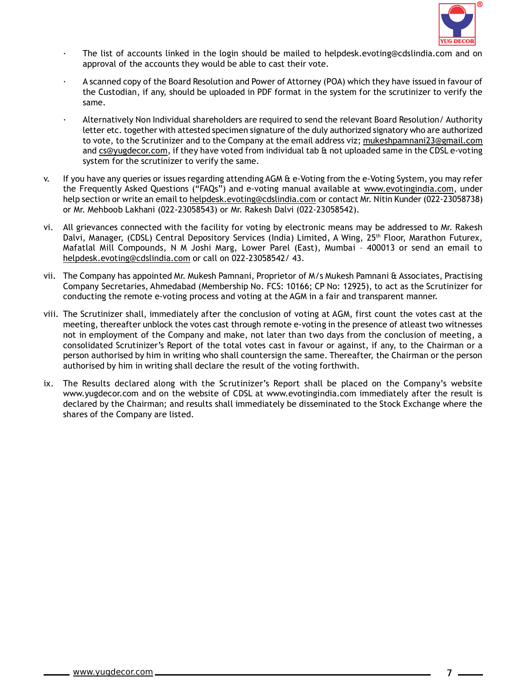

- The list of accounts linked in the login should be mailed to helpdesk.evoting@cdslindia.com and on approval of the accounts they would be able to cast their vote.
- · A scanned copy of the Board Resolution and Power of Attorney (POA) which they have issued in favour of the Custodian, if any, should be uploaded in PDF format in the system for the scrutinizer to verify the same.
- · Alternatively Non Individual shareholders are required to send the relevant Board Resolution/ Authority letter etc. together with attested specimen signature of the duly authorized signatory who are authorized to vote, to the Scrutinizer and to the Company at the email address viz; mukeshpamnani23@gmail.com and cs@yugdecor.com, if they have voted from individual tab & not uploaded same in the CDSL e-voting system for the scrutinizer to verify the same.
- v. If you have any queries or issues regarding attending AGM & e-Voting from the e-Voting System, you may refer the Frequently Asked Questions ("FAQs") and e-voting manual available at www.evotingindia.com, under help section or write an email to helpdesk.evoting@cdslindia.com or contact Mr. Nitin Kunder (022-23058738) or Mr. Mehboob Lakhani (022-23058543) or Mr. Rakesh Dalvi (022-23058542).
- vi. All grievances connected with the facility for voting by electronic means may be addressed to Mr. Rakesh Dalvi, Manager, (CDSL) Central Depository Services (India) Limited, A Wing, 25<sup>th</sup> Floor, Marathon Futurex, Mafatlal Mill Compounds, N M Joshi Marg, Lower Parel (East), Mumbai – 400013 or send an email to helpdesk.evoting@cdslindia.com or call on 022-23058542/ 43.
- vii. The Company has appointed Mr. Mukesh Pamnani, Proprietor of M/s Mukesh Pamnani & Associates, Practising Company Secretaries, Ahmedabad (Membership No. FCS: 10166; CP No: 12925), to act as the Scrutinizer for conducting the remote e-voting process and voting at the AGM in a fair and transparent manner.
- viii. The Scrutinizer shall, immediately after the conclusion of voting at AGM, first count the votes cast at the meeting, thereafter unblock the votes cast through remote e-voting in the presence of atleast two witnesses not in employment of the Company and make, not later than two days from the conclusion of meeting, a consolidated Scrutinizer's Report of the total votes cast in favour or against, if any, to the Chairman or a person authorised by him in writing who shall countersign the same. Thereafter, the Chairman or the person authorised by him in writing shall declare the result of the voting forthwith.
- ix. The Results declared along with the Scrutinizer's Report shall be placed on the Company's website www.yugdecor.com and on the website of CDSL at www.evotingindia.com immediately after the result is declared by the Chairman; and results shall immediately be disseminated to the Stock Exchange where the shares of the Company are listed.

 $7 -$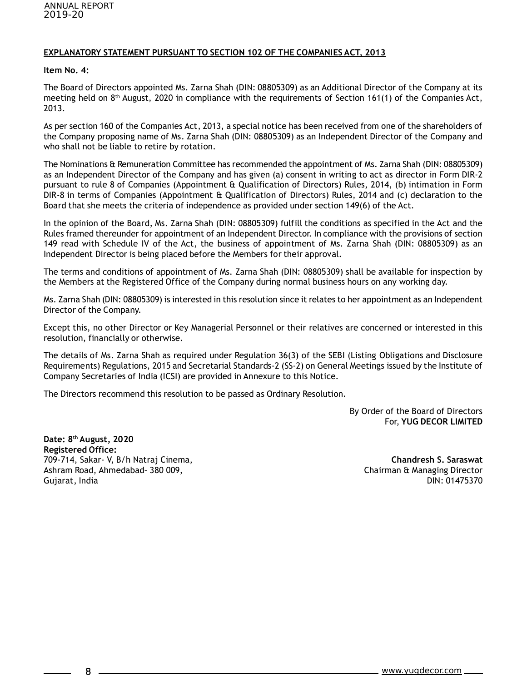### **EXPLANATORY STATEMENT PURSUANT TO SECTION 102 OF THE COMPANIES ACT, 2013**

#### **Item No. 4:**

The Board of Directors appointed Ms. Zarna Shah (DIN: 08805309) as an Additional Director of the Company at its meeting held on 8th August, 2020 in compliance with the requirements of Section 161(1) of the Companies Act, 2013.

As per section 160 of the Companies Act, 2013, a special notice has been received from one of the shareholders of the Company proposing name of Ms. Zarna Shah (DIN: 08805309) as an Independent Director of the Company and who shall not be liable to retire by rotation.

The Nominations & Remuneration Committee has recommended the appointment of Ms. Zarna Shah (DIN: 08805309) as an Independent Director of the Company and has given (a) consent in writing to act as director in Form DIR-2 pursuant to rule 8 of Companies (Appointment & Qualification of Directors) Rules, 2014, (b) intimation in Form DIR-8 in terms of Companies (Appointment & Qualification of Directors) Rules, 2014 and (c) declaration to the Board that she meets the criteria of independence as provided under section 149(6) of the Act.

In the opinion of the Board, Ms. Zarna Shah (DIN: 08805309) fulfill the conditions as specified in the Act and the Rules framed thereunder for appointment of an Independent Director. In compliance with the provisions of section 149 read with Schedule IV of the Act, the business of appointment of Ms. Zarna Shah (DIN: 08805309) as an Independent Director is being placed before the Members for their approval.

The terms and conditions of appointment of Ms. Zarna Shah (DIN: 08805309) shall be available for inspection by the Members at the Registered Office of the Company during normal business hours on any working day.

Ms. Zarna Shah (DIN: 08805309) is interested in this resolution since it relates to her appointment as an Independent Director of the Company.

Except this, no other Director or Key Managerial Personnel or their relatives are concerned or interested in this resolution, financially or otherwise.

The details of Ms. Zarna Shah as required under Regulation 36(3) of the SEBI (Listing Obligations and Disclosure Requirements) Regulations, 2015 and Secretarial Standards-2 (SS-2) on General Meetings issued by the Institute of Company Secretaries of India (ICSI) are provided in Annexure to this Notice.

The Directors recommend this resolution to be passed as Ordinary Resolution.

By Order of the Board of Directors For, **YUG DECOR LIMITED**

**Date: 8th August, 2020 Registered Office:** 709-714, Sakar- V, B/h Natraj Cinema, **Chandresh S. Saraswat** Ashram Road, Ahmedabad- 380 009, Chairman & Managing Director Gujarat, India DIN: 01475370

8